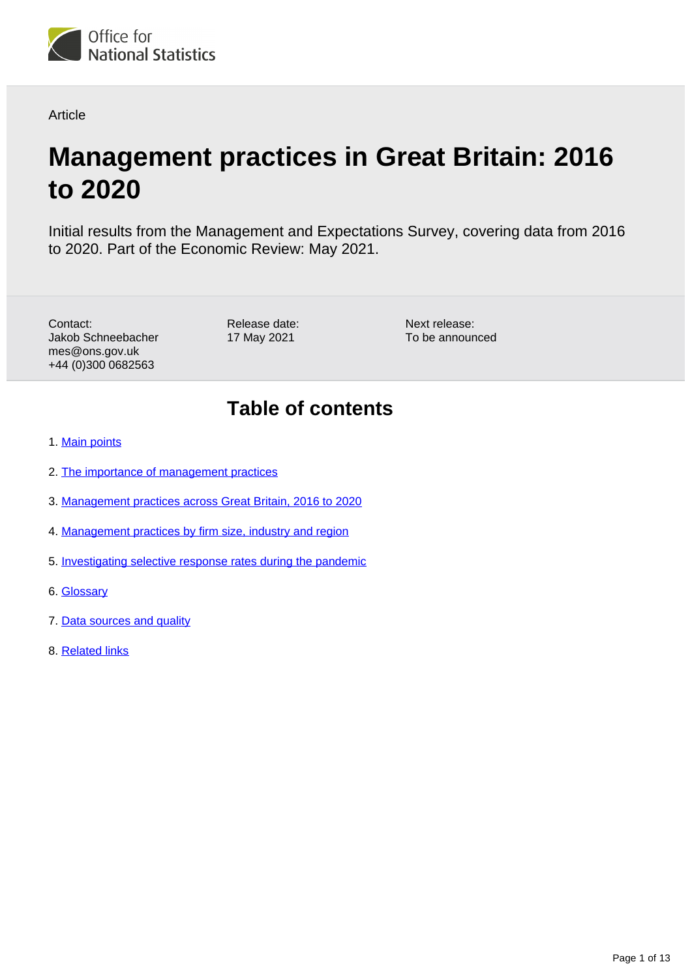

**Article** 

# **Management practices in Great Britain: 2016 to 2020**

Initial results from the Management and Expectations Survey, covering data from 2016 to 2020. Part of the Economic Review: May 2021.

Contact: Jakob Schneebacher mes@ons.gov.uk +44 (0)300 0682563

Release date: 17 May 2021

Next release: To be announced

## **Table of contents**

- 1. [Main points](#page-1-0)
- 2. [The importance of management practices](#page-1-1)
- 3. [Management practices across Great Britain, 2016 to 2020](#page-2-0)
- 4. [Management practices by firm size, industry and region](#page-4-0)
- 5. [Investigating selective response rates during the pandemic](#page-8-0)
- 6. [Glossary](#page-10-0)
- 7. [Data sources and quality](#page-10-1)
- 8. [Related links](#page-12-0)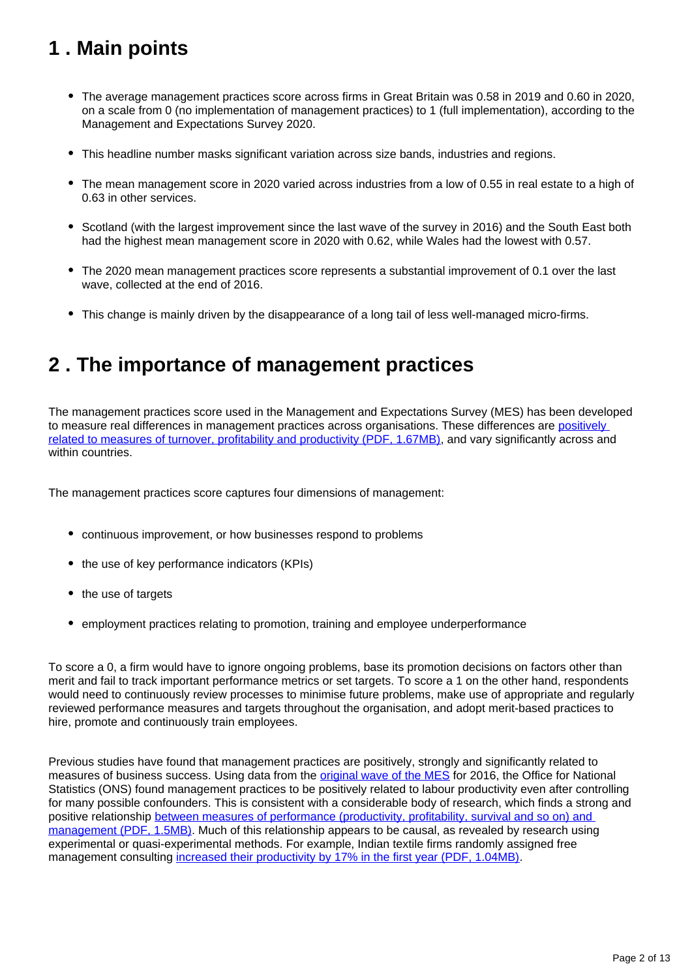## <span id="page-1-0"></span>**1 . Main points**

- The average management practices score across firms in Great Britain was 0.58 in 2019 and 0.60 in 2020, on a scale from 0 (no implementation of management practices) to 1 (full implementation), according to the Management and Expectations Survey 2020.
- This headline number masks significant variation across size bands, industries and regions.
- The mean management score in 2020 varied across industries from a low of 0.55 in real estate to a high of 0.63 in other services.
- Scotland (with the largest improvement since the last wave of the survey in 2016) and the South East both had the highest mean management score in 2020 with 0.62, while Wales had the lowest with 0.57.
- The 2020 mean management practices score represents a substantial improvement of 0.1 over the last wave, collected at the end of 2016.
- This change is mainly driven by the disappearance of a long tail of less well-managed micro-firms.

## <span id="page-1-1"></span>**2 . The importance of management practices**

The management practices score used in the Management and Expectations Survey (MES) has been developed to measure real differences in management practices across organisations. These differences are positively [related to measures of turnover, profitability and productivity \(PDF, 1.67MB\)](https://academic.oup.com/jeea/article-abstract/12/4/835/2318424), and vary significantly across and within countries.

The management practices score captures four dimensions of management:

- continuous improvement, or how businesses respond to problems
- the use of key performance indicators (KPIs)
- the use of targets
- employment practices relating to promotion, training and employee underperformance

To score a 0, a firm would have to ignore ongoing problems, base its promotion decisions on factors other than merit and fail to track important performance metrics or set targets. To score a 1 on the other hand, respondents would need to continuously review processes to minimise future problems, make use of appropriate and regularly reviewed performance measures and targets throughout the organisation, and adopt merit-based practices to hire, promote and continuously train employees.

Previous studies have found that management practices are positively, strongly and significantly related to measures of business success. Using data from the [original wave of the MES](https://www.ons.gov.uk/employmentandlabourmarket/peopleinwork/labourproductivity/articles/experimentaldataonthemanagementpracticesofmanufacturingbusinessesingreatbritain/2018-04-06) for 2016, the Office for National Statistics (ONS) found management practices to be positively related to labour productivity even after controlling for many possible confounders. This is consistent with a considerable body of research, which finds a strong and positive relationship between measures of performance (productivity, profitability, survival and so on) and [management \(PDF, 1.5MB\)](http://ftp.iza.org/dp14146.pdf). Much of this relationship appears to be causal, as revealed by research using experimental or quasi-experimental methods. For example, Indian textile firms randomly assigned free management consulting [increased their productivity by 17% in the first year \(PDF, 1.04MB\)](https://academic.oup.com/qje/article-abstract/128/1/1/1838606?redirectedFrom=fulltext).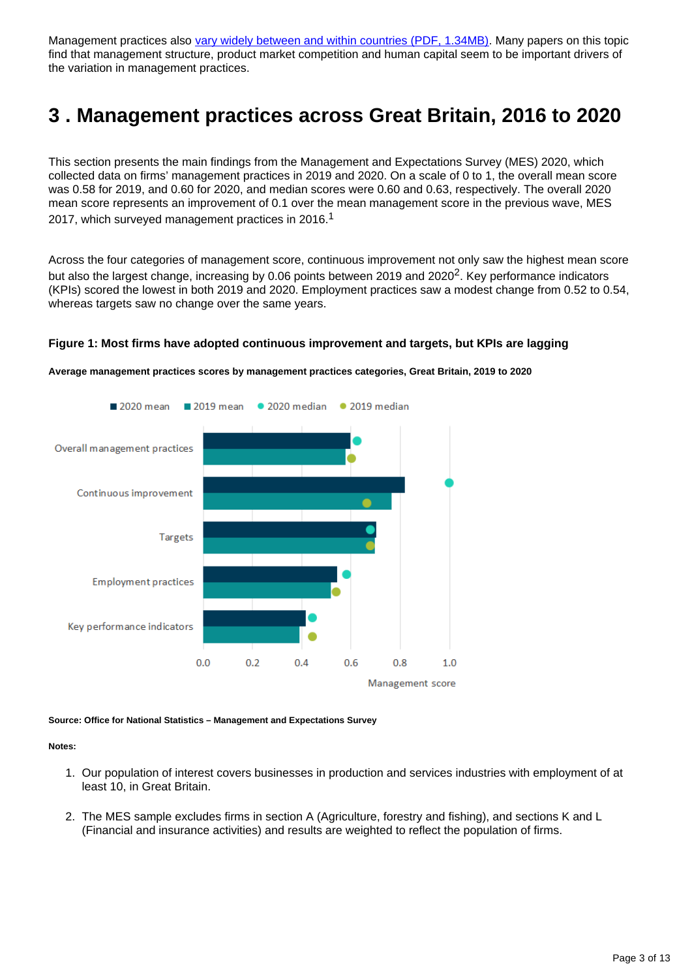Management practices also [vary widely between and within countries \(PDF, 1.34MB\).](https://www.hbs.edu/ris/Publication%20Files/16-133_64fd57c1-5f76-415a-9567-f1c0d310aff3.pdf) Many papers on this topic find that management structure, product market competition and human capital seem to be important drivers of the variation in management practices.

## <span id="page-2-0"></span>**3 . Management practices across Great Britain, 2016 to 2020**

This section presents the main findings from the Management and Expectations Survey (MES) 2020, which collected data on firms' management practices in 2019 and 2020. On a scale of 0 to 1, the overall mean score was 0.58 for 2019, and 0.60 for 2020, and median scores were 0.60 and 0.63, respectively. The overall 2020 mean score represents an improvement of 0.1 over the mean management score in the previous wave, MES 2017, which surveyed management practices in 2016.<sup>1</sup>

Across the four categories of management score, continuous improvement not only saw the highest mean score but also the largest change, increasing by 0.06 points between 2019 and 2020<sup>2</sup>. Key performance indicators (KPIs) scored the lowest in both 2019 and 2020. Employment practices saw a modest change from 0.52 to 0.54, whereas targets saw no change over the same years.



#### **Figure 1: Most firms have adopted continuous improvement and targets, but KPIs are lagging**

**Average management practices scores by management practices categories, Great Britain, 2019 to 2020**

**Source: Office for National Statistics – Management and Expectations Survey**

#### **Notes:**

- 1. Our population of interest covers businesses in production and services industries with employment of at least 10, in Great Britain.
- 2. The MES sample excludes firms in section A (Agriculture, forestry and fishing), and sections K and L (Financial and insurance activities) and results are weighted to reflect the population of firms.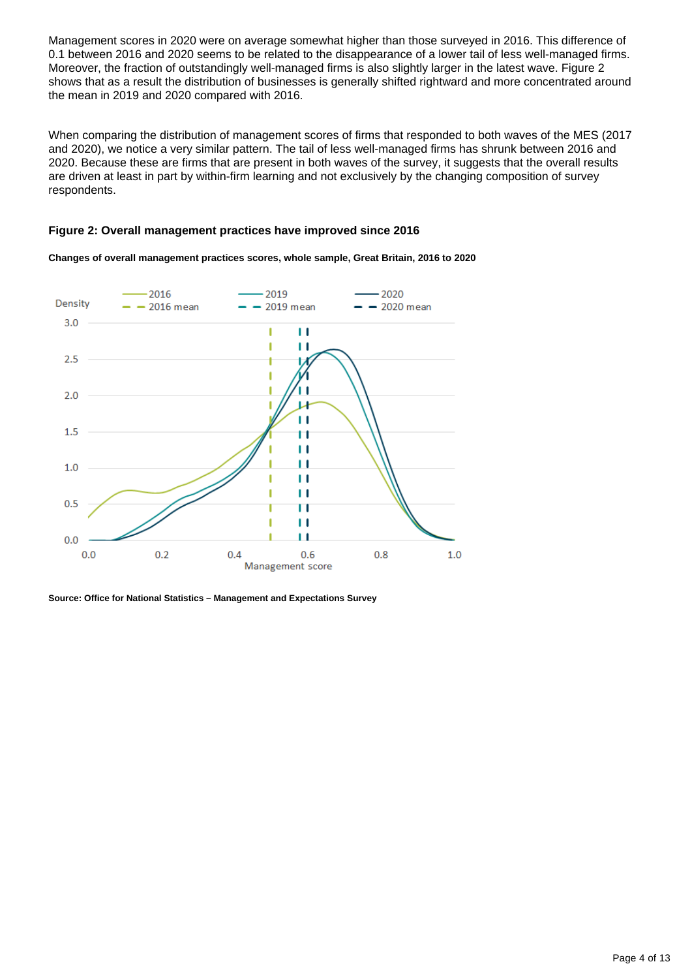Management scores in 2020 were on average somewhat higher than those surveyed in 2016. This difference of 0.1 between 2016 and 2020 seems to be related to the disappearance of a lower tail of less well-managed firms. Moreover, the fraction of outstandingly well-managed firms is also slightly larger in the latest wave. Figure 2 shows that as a result the distribution of businesses is generally shifted rightward and more concentrated around the mean in 2019 and 2020 compared with 2016.

When comparing the distribution of management scores of firms that responded to both waves of the MES (2017 and 2020), we notice a very similar pattern. The tail of less well-managed firms has shrunk between 2016 and 2020. Because these are firms that are present in both waves of the survey, it suggests that the overall results are driven at least in part by within-firm learning and not exclusively by the changing composition of survey respondents.

#### **Figure 2: Overall management practices have improved since 2016**



**Changes of overall management practices scores, whole sample, Great Britain, 2016 to 2020**

**Source: Office for National Statistics – Management and Expectations Survey**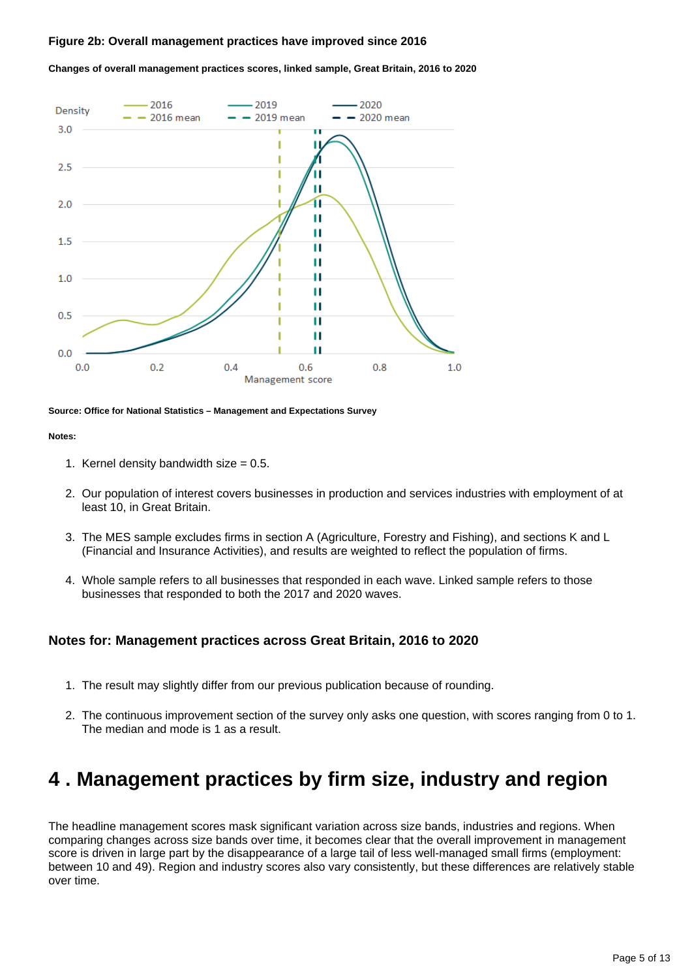#### **Figure 2b: Overall management practices have improved since 2016**



**Changes of overall management practices scores, linked sample, Great Britain, 2016 to 2020**

#### **Source: Office for National Statistics – Management and Expectations Survey**

#### **Notes:**

- 1. Kernel density bandwidth size = 0.5.
- 2. Our population of interest covers businesses in production and services industries with employment of at least 10, in Great Britain.
- 3. The MES sample excludes firms in section A (Agriculture, Forestry and Fishing), and sections K and L (Financial and Insurance Activities), and results are weighted to reflect the population of firms.
- 4. Whole sample refers to all businesses that responded in each wave. Linked sample refers to those businesses that responded to both the 2017 and 2020 waves.

#### **Notes for: Management practices across Great Britain, 2016 to 2020**

- 1. The result may slightly differ from our previous publication because of rounding.
- 2. The continuous improvement section of the survey only asks one question, with scores ranging from 0 to 1. The median and mode is 1 as a result.

## <span id="page-4-0"></span>**4 . Management practices by firm size, industry and region**

The headline management scores mask significant variation across size bands, industries and regions. When comparing changes across size bands over time, it becomes clear that the overall improvement in management score is driven in large part by the disappearance of a large tail of less well-managed small firms (employment: between 10 and 49). Region and industry scores also vary consistently, but these differences are relatively stable over time.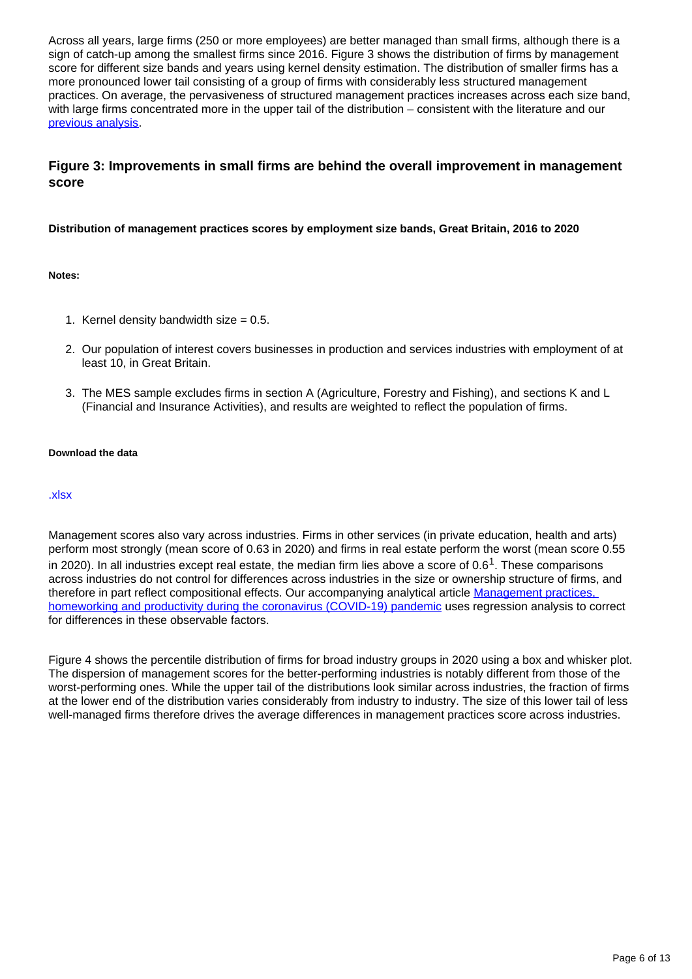Across all years, large firms (250 or more employees) are better managed than small firms, although there is a sign of catch-up among the smallest firms since 2016. Figure 3 shows the distribution of firms by management score for different size bands and years using kernel density estimation. The distribution of smaller firms has a more pronounced lower tail consisting of a group of firms with considerably less structured management practices. On average, the pervasiveness of structured management practices increases across each size band, with large firms concentrated more in the upper tail of the distribution – consistent with the literature and our [previous analysis](https://www.ons.gov.uk/employmentandlabourmarket/peopleinwork/labourproductivity/articles/experimentaldataonthemanagementpracticesofmanufacturingbusinessesingreatbritain/2018-04-06).

### **Figure 3: Improvements in small firms are behind the overall improvement in management score**

#### **Distribution of management practices scores by employment size bands, Great Britain, 2016 to 2020**

#### **Notes:**

- 1. Kernel density bandwidth size = 0.5.
- 2. Our population of interest covers businesses in production and services industries with employment of at least 10, in Great Britain.
- 3. The MES sample excludes firms in section A (Agriculture, Forestry and Fishing), and sections K and L (Financial and Insurance Activities), and results are weighted to reflect the population of firms.

#### **Download the data**

#### [.xlsx](https://www.ons.gov.uk/visualisations/dvc1330/animatedline/datadownload.xlsx)

Management scores also vary across industries. Firms in other services (in private education, health and arts) perform most strongly (mean score of 0.63 in 2020) and firms in real estate perform the worst (mean score 0.55 in 2020). In all industries except real estate, the median firm lies above a score of  $0.6<sup>1</sup>$ . These comparisons across industries do not control for differences across industries in the size or ownership structure of firms, and therefore in part reflect compositional effects. Our accompanying analytical article Management practices, [homeworking and productivity during the coronavirus \(COVID-19\) pandemic](https://www.ons.gov.uk/economy/economicoutputandproductivity/productivitymeasures/articles/managementpracticeshomeworkingandproductivityduringthecoronaviruscovid19pandemic/2021-05-17) uses regression analysis to correct for differences in these observable factors.

Figure 4 shows the percentile distribution of firms for broad industry groups in 2020 using a box and whisker plot. The dispersion of management scores for the better-performing industries is notably different from those of the worst-performing ones. While the upper tail of the distributions look similar across industries, the fraction of firms at the lower end of the distribution varies considerably from industry to industry. The size of this lower tail of less well-managed firms therefore drives the average differences in management practices score across industries.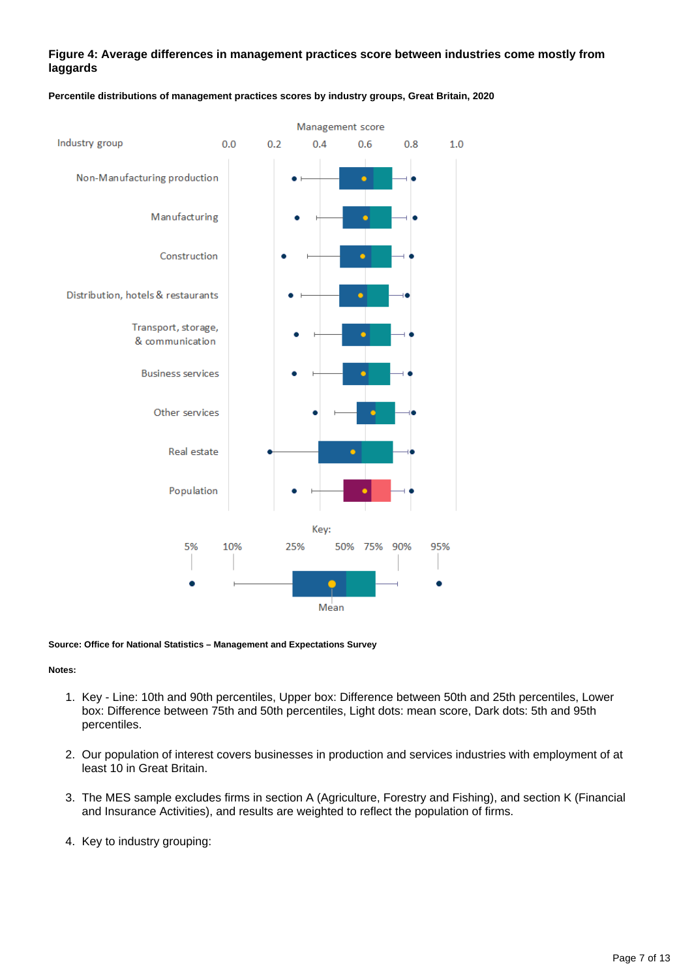#### **Figure 4: Average differences in management practices score between industries come mostly from laggards**



#### **Percentile distributions of management practices scores by industry groups, Great Britain, 2020**

#### **Source: Office for National Statistics – Management and Expectations Survey**

#### **Notes:**

- 1. Key Line: 10th and 90th percentiles, Upper box: Difference between 50th and 25th percentiles, Lower box: Difference between 75th and 50th percentiles, Light dots: mean score, Dark dots: 5th and 95th percentiles.
- 2. Our population of interest covers businesses in production and services industries with employment of at least 10 in Great Britain.
- 3. The MES sample excludes firms in section A (Agriculture, Forestry and Fishing), and section K (Financial and Insurance Activities), and results are weighted to reflect the population of firms.
- 4. Key to industry grouping: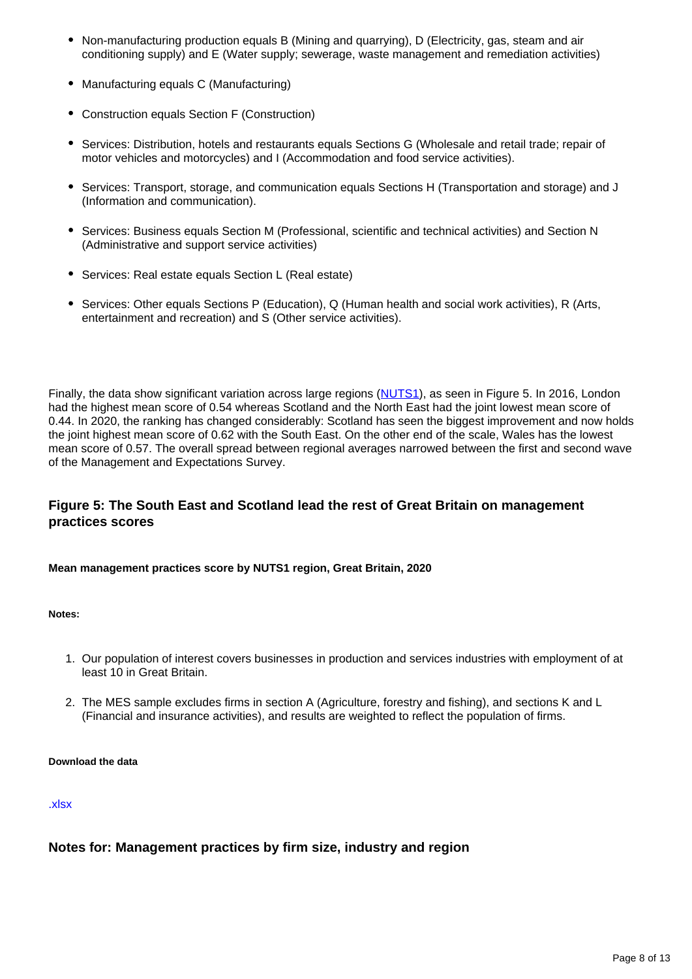- Non-manufacturing production equals B (Mining and quarrying), D (Electricity, gas, steam and air conditioning supply) and E (Water supply; sewerage, waste management and remediation activities)
- Manufacturing equals C (Manufacturing)
- Construction equals Section F (Construction)
- Services: Distribution, hotels and restaurants equals Sections G (Wholesale and retail trade; repair of motor vehicles and motorcycles) and I (Accommodation and food service activities).
- Services: Transport, storage, and communication equals Sections H (Transportation and storage) and J (Information and communication).
- Services: Business equals Section M (Professional, scientific and technical activities) and Section N (Administrative and support service activities)
- Services: Real estate equals Section L (Real estate)
- Services: Other equals Sections P (Education), Q (Human health and social work activities), R (Arts, entertainment and recreation) and S (Other service activities).

Finally, the data show significant variation across large regions ([NUTS1\)](https://www.ons.gov.uk/methodology/geography/ukgeographies/eurostat), as seen in Figure 5. In 2016, London had the highest mean score of 0.54 whereas Scotland and the North East had the joint lowest mean score of 0.44. In 2020, the ranking has changed considerably: Scotland has seen the biggest improvement and now holds the joint highest mean score of 0.62 with the South East. On the other end of the scale, Wales has the lowest mean score of 0.57. The overall spread between regional averages narrowed between the first and second wave of the Management and Expectations Survey.

### **Figure 5: The South East and Scotland lead the rest of Great Britain on management practices scores**

**Mean management practices score by NUTS1 region, Great Britain, 2020**

#### **Notes:**

- 1. Our population of interest covers businesses in production and services industries with employment of at least 10 in Great Britain.
- 2. The MES sample excludes firms in section A (Agriculture, forestry and fishing), and sections K and L (Financial and insurance activities), and results are weighted to reflect the population of firms.

#### **Download the data**

#### [.xlsx](https://www.ons.gov.uk/visualisations/dvc1330/map2020/datadownload.xlsx)

#### **Notes for: Management practices by firm size, industry and region**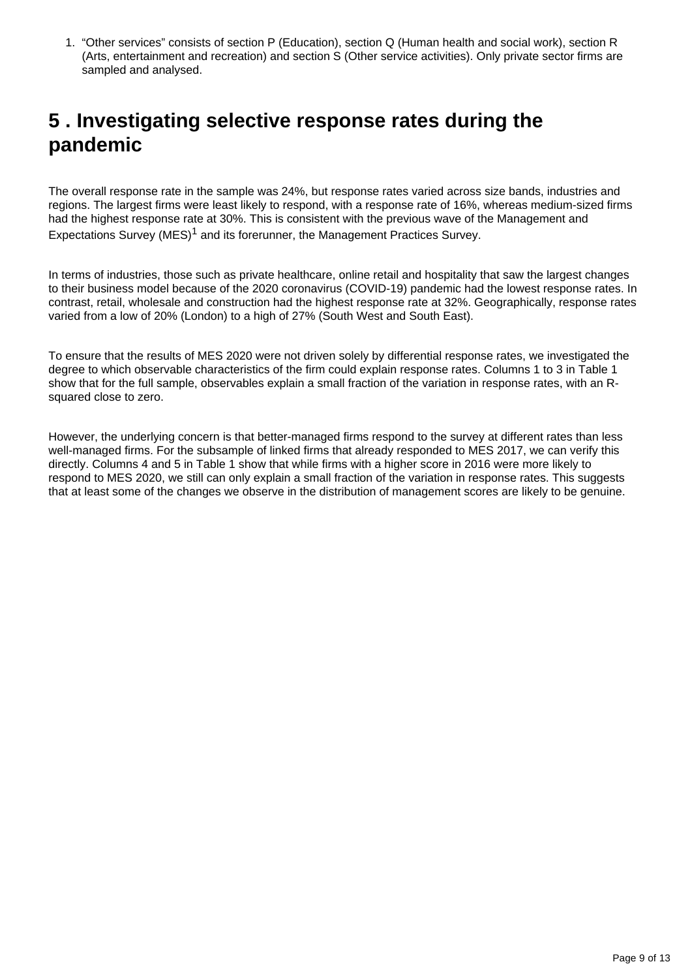1. "Other services" consists of section P (Education), section Q (Human health and social work), section R (Arts, entertainment and recreation) and section S (Other service activities). Only private sector firms are sampled and analysed.

## <span id="page-8-0"></span>**5 . Investigating selective response rates during the pandemic**

The overall response rate in the sample was 24%, but response rates varied across size bands, industries and regions. The largest firms were least likely to respond, with a response rate of 16%, whereas medium-sized firms had the highest response rate at 30%. This is consistent with the previous wave of the Management and Expectations Survey (MES)<sup>1</sup> and its forerunner, the Management Practices Survey.

In terms of industries, those such as private healthcare, online retail and hospitality that saw the largest changes to their business model because of the 2020 coronavirus (COVID-19) pandemic had the lowest response rates. In contrast, retail, wholesale and construction had the highest response rate at 32%. Geographically, response rates varied from a low of 20% (London) to a high of 27% (South West and South East).

To ensure that the results of MES 2020 were not driven solely by differential response rates, we investigated the degree to which observable characteristics of the firm could explain response rates. Columns 1 to 3 in Table 1 show that for the full sample, observables explain a small fraction of the variation in response rates, with an Rsquared close to zero.

However, the underlying concern is that better-managed firms respond to the survey at different rates than less well-managed firms. For the subsample of linked firms that already responded to MES 2017, we can verify this directly. Columns 4 and 5 in Table 1 show that while firms with a higher score in 2016 were more likely to respond to MES 2020, we still can only explain a small fraction of the variation in response rates. This suggests that at least some of the changes we observe in the distribution of management scores are likely to be genuine.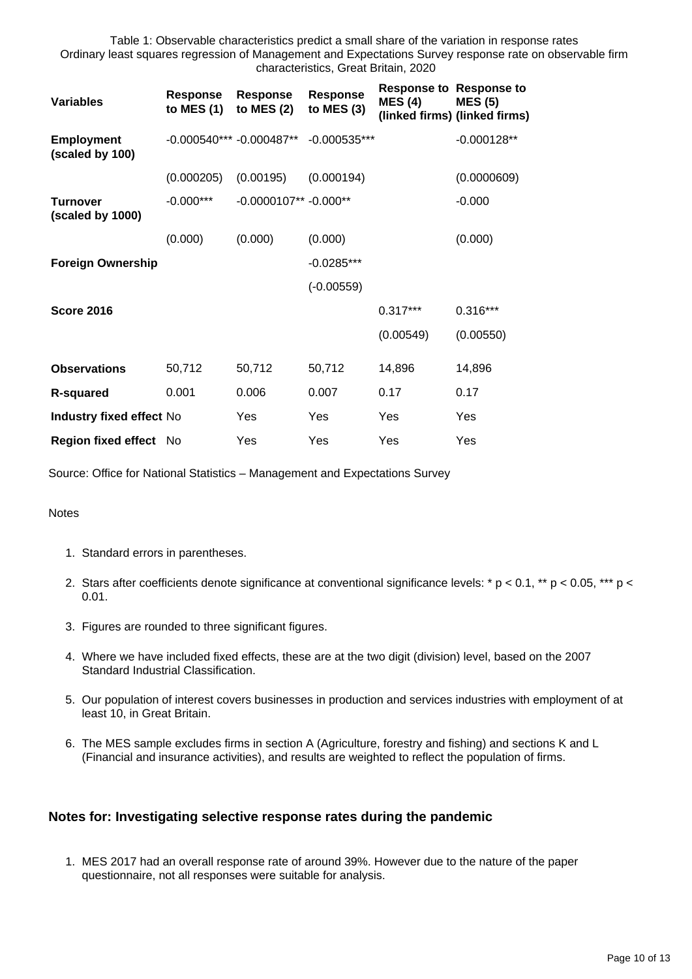Table 1: Observable characteristics predict a small share of the variation in response rates Ordinary least squares regression of Management and Expectations Survey response rate on observable firm characteristics, Great Britain, 2020

| <b>Variables</b>                     | <b>Response</b><br>to MES $(1)$ | Response<br>to MES $(2)$ | <b>Response</b><br>to MES $(3)$ | <b>MES (4)</b> | <b>Response to Response to</b><br><b>MES (5)</b><br>(linked firms) (linked firms) |
|--------------------------------------|---------------------------------|--------------------------|---------------------------------|----------------|-----------------------------------------------------------------------------------|
| <b>Employment</b><br>(scaled by 100) | $-0.000540***$ -0.000487**      |                          | $-0.000535***$                  |                | $-0.000128**$                                                                     |
|                                      | (0.000205)                      | (0.00195)                | (0.000194)                      |                | (0.0000609)                                                                       |
| <b>Turnover</b><br>(scaled by 1000)  | $-0.000***$                     | $-0.0000107** -0.000**$  |                                 |                | $-0.000$                                                                          |
|                                      | (0.000)                         | (0.000)                  | (0.000)                         |                | (0.000)                                                                           |
| <b>Foreign Ownership</b>             |                                 |                          | $-0.0285***$                    |                |                                                                                   |
|                                      |                                 |                          | $(-0.00559)$                    |                |                                                                                   |
| <b>Score 2016</b>                    |                                 |                          |                                 | $0.317***$     | $0.316***$                                                                        |
|                                      |                                 |                          |                                 | (0.00549)      | (0.00550)                                                                         |
| <b>Observations</b>                  | 50,712                          | 50,712                   | 50,712                          | 14,896         | 14,896                                                                            |
| <b>R-squared</b>                     | 0.001                           | 0.006                    | 0.007                           | 0.17           | 0.17                                                                              |
| Industry fixed effect No             |                                 | Yes                      | Yes                             | Yes            | Yes                                                                               |
| Region fixed effect No               |                                 | Yes                      | Yes                             | Yes            | Yes                                                                               |

Source: Office for National Statistics – Management and Expectations Survey

#### **Notes**

- 1. Standard errors in parentheses.
- 2. Stars after coefficients denote significance at conventional significance levels: \* p < 0.1, \*\* p < 0.05, \*\*\* p < 0.01.
- 3. Figures are rounded to three significant figures.
- 4. Where we have included fixed effects, these are at the two digit (division) level, based on the 2007 Standard Industrial Classification.
- 5. Our population of interest covers businesses in production and services industries with employment of at least 10, in Great Britain.
- 6. The MES sample excludes firms in section A (Agriculture, forestry and fishing) and sections K and L (Financial and insurance activities), and results are weighted to reflect the population of firms.

#### **Notes for: Investigating selective response rates during the pandemic**

1. MES 2017 had an overall response rate of around 39%. However due to the nature of the paper questionnaire, not all responses were suitable for analysis.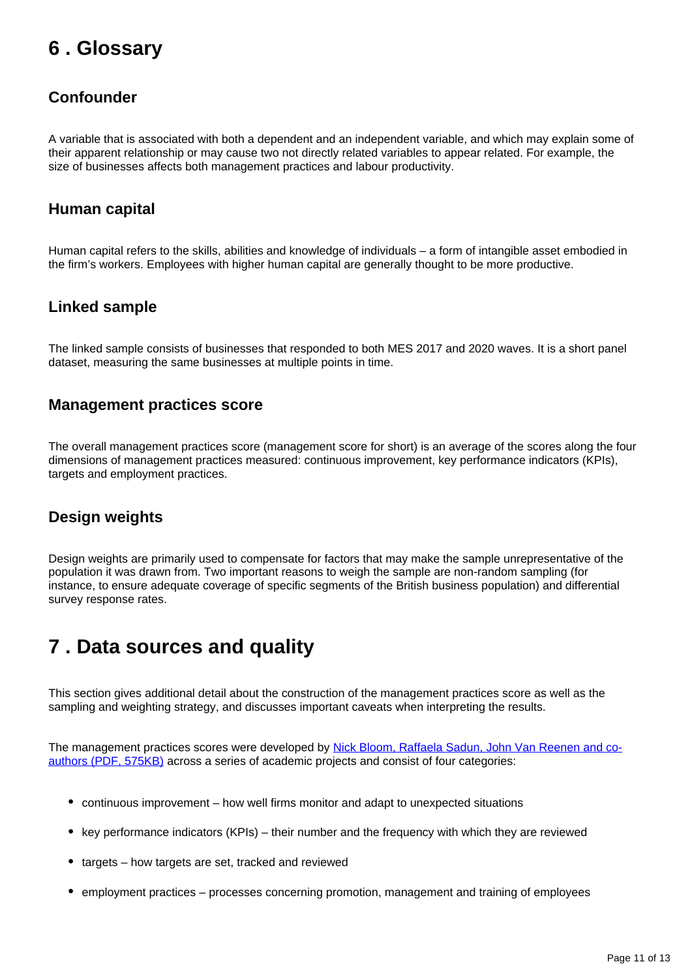## <span id="page-10-0"></span>**6 . Glossary**

### **Confounder**

A variable that is associated with both a dependent and an independent variable, and which may explain some of their apparent relationship or may cause two not directly related variables to appear related. For example, the size of businesses affects both management practices and labour productivity.

### **Human capital**

Human capital refers to the skills, abilities and knowledge of individuals – a form of intangible asset embodied in the firm's workers. Employees with higher human capital are generally thought to be more productive.

### **Linked sample**

The linked sample consists of businesses that responded to both MES 2017 and 2020 waves. It is a short panel dataset, measuring the same businesses at multiple points in time.

### **Management practices score**

The overall management practices score (management score for short) is an average of the scores along the four dimensions of management practices measured: continuous improvement, key performance indicators (KPIs), targets and employment practices.

### **Design weights**

Design weights are primarily used to compensate for factors that may make the sample unrepresentative of the population it was drawn from. Two important reasons to weigh the sample are non-random sampling (for instance, to ensure adequate coverage of specific segments of the British business population) and differential survey response rates.

## <span id="page-10-1"></span>**7 . Data sources and quality**

This section gives additional detail about the construction of the management practices score as well as the sampling and weighting strategy, and discusses important caveats when interpreting the results.

The management practices scores were developed by [Nick Bloom, Raffaela Sadun, John Van Reenen and co](https://worldmanagementsurvey.org/wp-content/images/2010/07/Measuring-and-Explaining-Management-Practices-Across-Firms-and-Countries-Bloom-and-Van-Reenen.pdf)[authors \(PDF, 575KB\)](https://worldmanagementsurvey.org/wp-content/images/2010/07/Measuring-and-Explaining-Management-Practices-Across-Firms-and-Countries-Bloom-and-Van-Reenen.pdf) across a series of academic projects and consist of four categories:

- continuous improvement how well firms monitor and adapt to unexpected situations
- key performance indicators (KPIs) their number and the frequency with which they are reviewed
- targets how targets are set, tracked and reviewed
- employment practices processes concerning promotion, management and training of employees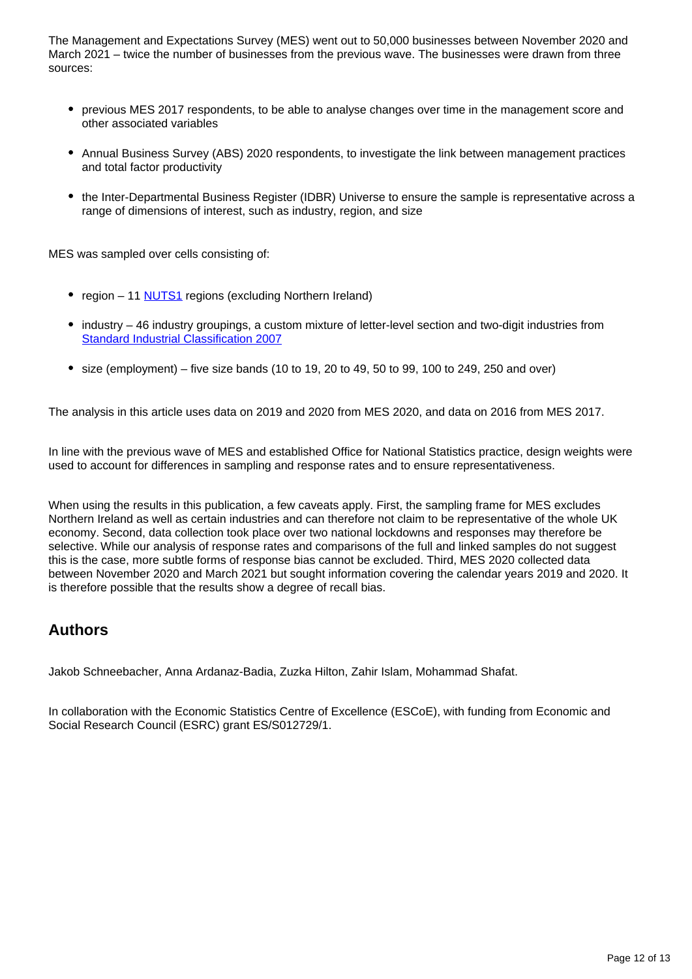The Management and Expectations Survey (MES) went out to 50,000 businesses between November 2020 and March 2021 – twice the number of businesses from the previous wave. The businesses were drawn from three sources:

- previous MES 2017 respondents, to be able to analyse changes over time in the management score and other associated variables
- Annual Business Survey (ABS) 2020 respondents, to investigate the link between management practices and total factor productivity
- the Inter-Departmental Business Register (IDBR) Universe to ensure the sample is representative across a range of dimensions of interest, such as industry, region, and size

MES was sampled over cells consisting of:

- region 11 **NUTS1** regions (excluding Northern Ireland)
- industry 46 industry groupings, a custom mixture of letter-level section and two-digit industries from [Standard Industrial Classification 2007](https://www.ons.gov.uk/methodology/classificationsandstandards/ukstandardindustrialclassificationofeconomicactivities/uksic2007)
- $\bullet$  size (employment) five size bands (10 to 19, 20 to 49, 50 to 99, 100 to 249, 250 and over)

The analysis in this article uses data on 2019 and 2020 from MES 2020, and data on 2016 from MES 2017.

In line with the previous wave of MES and established Office for National Statistics practice, design weights were used to account for differences in sampling and response rates and to ensure representativeness.

When using the results in this publication, a few caveats apply. First, the sampling frame for MES excludes Northern Ireland as well as certain industries and can therefore not claim to be representative of the whole UK economy. Second, data collection took place over two national lockdowns and responses may therefore be selective. While our analysis of response rates and comparisons of the full and linked samples do not suggest this is the case, more subtle forms of response bias cannot be excluded. Third, MES 2020 collected data between November 2020 and March 2021 but sought information covering the calendar years 2019 and 2020. It is therefore possible that the results show a degree of recall bias.

### **Authors**

Jakob Schneebacher, Anna Ardanaz-Badia, Zuzka Hilton, Zahir Islam, Mohammad Shafat.

In collaboration with the Economic Statistics Centre of Excellence (ESCoE), with funding from Economic and Social Research Council (ESRC) grant ES/S012729/1.